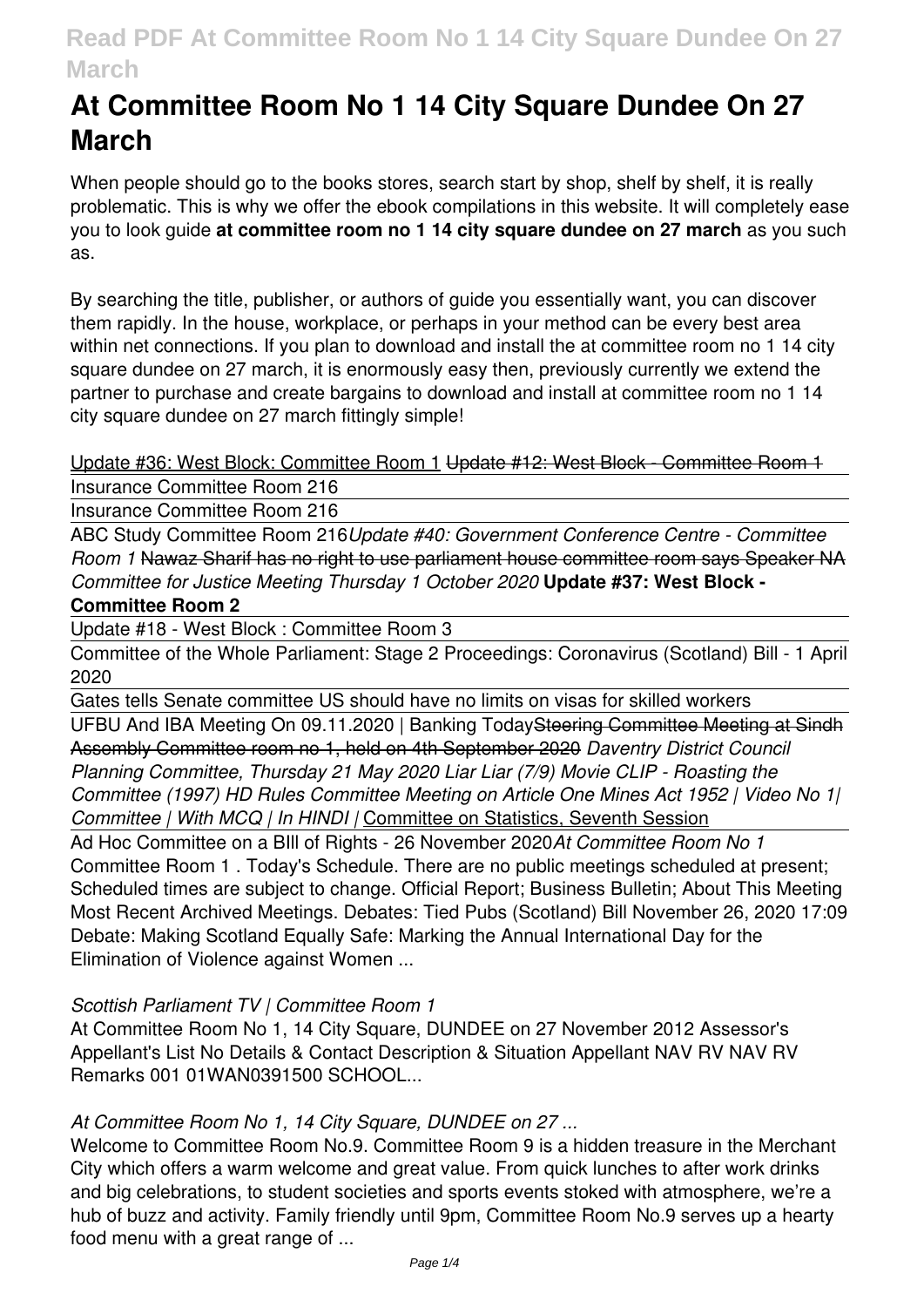# **At Committee Room No 1 14 City Square Dundee On 27 March**

When people should go to the books stores, search start by shop, shelf by shelf, it is really problematic. This is why we offer the ebook compilations in this website. It will completely ease you to look guide **at committee room no 1 14 city square dundee on 27 march** as you such as.

By searching the title, publisher, or authors of guide you essentially want, you can discover them rapidly. In the house, workplace, or perhaps in your method can be every best area within net connections. If you plan to download and install the at committee room no 1 14 city square dundee on 27 march, it is enormously easy then, previously currently we extend the partner to purchase and create bargains to download and install at committee room no 1 14 city square dundee on 27 march fittingly simple!

Update #36: West Block: Committee Room 1 Update #12: West Block - Committee Room 1 Insurance Committee Room 216

Insurance Committee Room 216

ABC Study Committee Room 216*Update #40: Government Conference Centre - Committee Room 1* Nawaz Sharif has no right to use parliament house committee room says Speaker NA *Committee for Justice Meeting Thursday 1 October 2020* **Update #37: West Block -**

#### **Committee Room 2**

Update #18 - West Block : Committee Room 3

Committee of the Whole Parliament: Stage 2 Proceedings: Coronavirus (Scotland) Bill - 1 April 2020

Gates tells Senate committee US should have no limits on visas for skilled workers

UFBU And IBA Meeting On 09.11.2020 | Banking TodaySteering Committee Meeting at Sindh Assembly Committee room no 1, held on 4th September 2020 *Daventry District Council Planning Committee, Thursday 21 May 2020 Liar Liar (7/9) Movie CLIP - Roasting the Committee (1997) HD Rules Committee Meeting on Article One Mines Act 1952 | Video No 1| Committee | With MCQ | In HINDI |* Committee on Statistics, Seventh Session

Ad Hoc Committee on a BIll of Rights - 26 November 2020*At Committee Room No 1* Committee Room 1 . Today's Schedule. There are no public meetings scheduled at present; Scheduled times are subject to change. Official Report; Business Bulletin; About This Meeting Most Recent Archived Meetings. Debates: Tied Pubs (Scotland) Bill November 26, 2020 17:09 Debate: Making Scotland Equally Safe: Marking the Annual International Day for the Elimination of Violence against Women ...

#### *Scottish Parliament TV | Committee Room 1*

At Committee Room No 1, 14 City Square, DUNDEE on 27 November 2012 Assessor's Appellant's List No Details & Contact Description & Situation Appellant NAV RV NAV RV Remarks 001 01WAN0391500 SCHOOL...

## *At Committee Room No 1, 14 City Square, DUNDEE on 27 ...*

Welcome to Committee Room No.9. Committee Room 9 is a hidden treasure in the Merchant City which offers a warm welcome and great value. From quick lunches to after work drinks and big celebrations, to student societies and sports events stoked with atmosphere, we're a hub of buzz and activity. Family friendly until 9pm, Committee Room No.9 serves up a hearty food menu with a great range of ...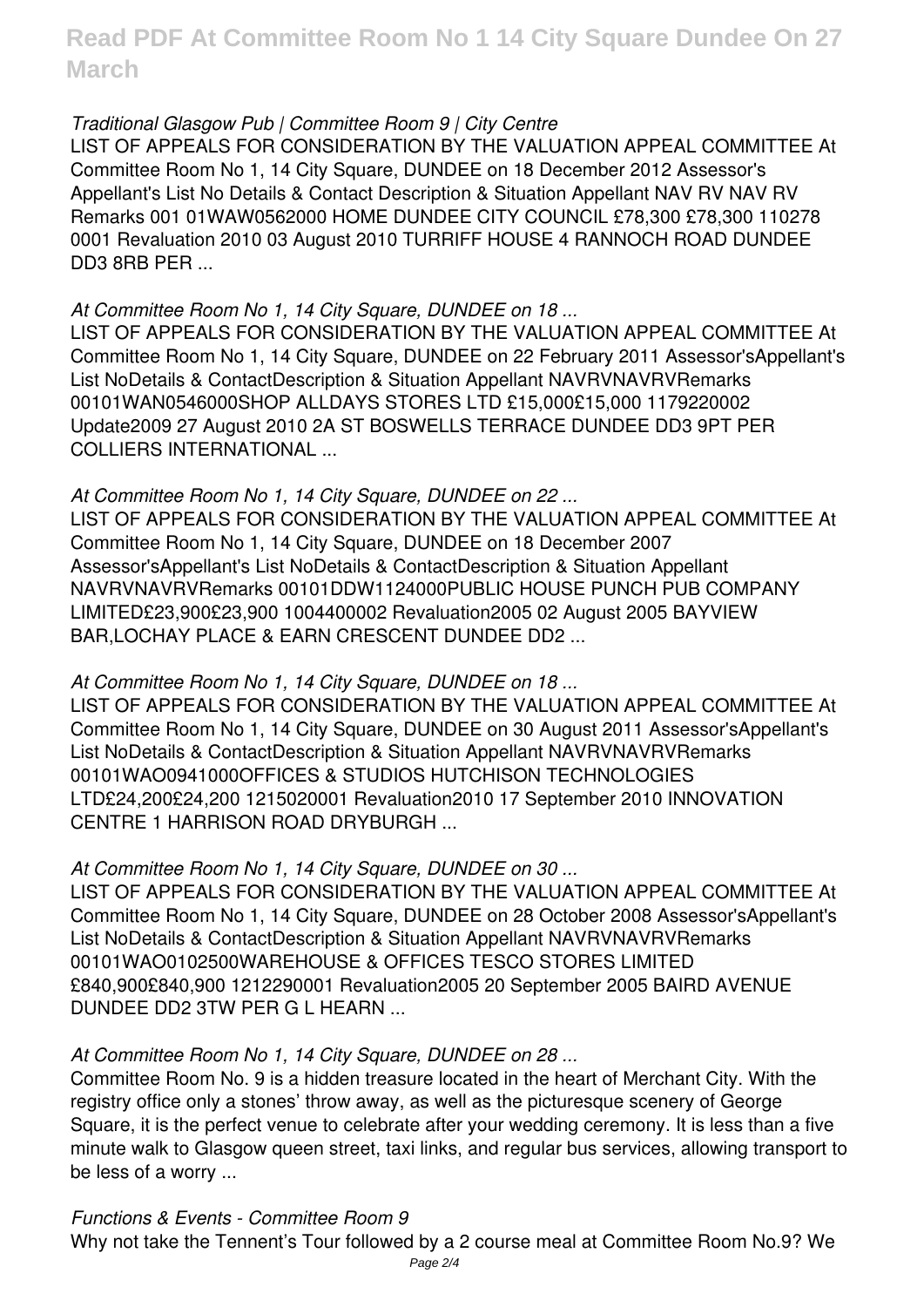#### *Traditional Glasgow Pub | Committee Room 9 | City Centre*

LIST OF APPEALS FOR CONSIDERATION BY THE VALUATION APPEAL COMMITTEE At Committee Room No 1, 14 City Square, DUNDEE on 18 December 2012 Assessor's Appellant's List No Details & Contact Description & Situation Appellant NAV RV NAV RV Remarks 001 01WAW0562000 HOME DUNDEE CITY COUNCIL £78,300 £78,300 110278 0001 Revaluation 2010 03 August 2010 TURRIFF HOUSE 4 RANNOCH ROAD DUNDEE DD3 8RB PER ...

#### *At Committee Room No 1, 14 City Square, DUNDEE on 18 ...*

LIST OF APPEALS FOR CONSIDERATION BY THE VALUATION APPEAL COMMITTEE At Committee Room No 1, 14 City Square, DUNDEE on 22 February 2011 Assessor'sAppellant's List NoDetails & ContactDescription & Situation Appellant NAVRVNAVRVRemarks 00101WAN0546000SHOP ALLDAYS STORES LTD £15,000£15,000 1179220002 Update2009 27 August 2010 2A ST BOSWELLS TERRACE DUNDEE DD3 9PT PER COLLIERS INTERNATIONAL ...

#### *At Committee Room No 1, 14 City Square, DUNDEE on 22 ...*

LIST OF APPEALS FOR CONSIDERATION BY THE VALUATION APPEAL COMMITTEE At Committee Room No 1, 14 City Square, DUNDEE on 18 December 2007 Assessor'sAppellant's List NoDetails & ContactDescription & Situation Appellant NAVRVNAVRVRemarks 00101DDW1124000PUBLIC HOUSE PUNCH PUB COMPANY LIMITED£23,900£23,900 1004400002 Revaluation2005 02 August 2005 BAYVIEW BAR,LOCHAY PLACE & EARN CRESCENT DUNDEE DD2 ...

## *At Committee Room No 1, 14 City Square, DUNDEE on 18 ...*

LIST OF APPEALS FOR CONSIDERATION BY THE VALUATION APPEAL COMMITTEE At Committee Room No 1, 14 City Square, DUNDEE on 30 August 2011 Assessor'sAppellant's List NoDetails & ContactDescription & Situation Appellant NAVRVNAVRVRemarks 00101WAO0941000OFFICES & STUDIOS HUTCHISON TECHNOLOGIES LTD£24,200£24,200 1215020001 Revaluation2010 17 September 2010 INNOVATION CENTRE 1 HARRISON ROAD DRYBURGH ...

## *At Committee Room No 1, 14 City Square, DUNDEE on 30 ...*

LIST OF APPEALS FOR CONSIDERATION BY THE VALUATION APPEAL COMMITTEE At Committee Room No 1, 14 City Square, DUNDEE on 28 October 2008 Assessor'sAppellant's List NoDetails & ContactDescription & Situation Appellant NAVRVNAVRVRemarks 00101WAO0102500WAREHOUSE & OFFICES TESCO STORES LIMITED £840,900£840,900 1212290001 Revaluation2005 20 September 2005 BAIRD AVENUE DUNDEE DD2 3TW PER G L HEARN ...

## *At Committee Room No 1, 14 City Square, DUNDEE on 28 ...*

Committee Room No. 9 is a hidden treasure located in the heart of Merchant City. With the registry office only a stones' throw away, as well as the picturesque scenery of George Square, it is the perfect venue to celebrate after your wedding ceremony. It is less than a five minute walk to Glasgow queen street, taxi links, and regular bus services, allowing transport to be less of a worry ...

*Functions & Events - Committee Room 9* Why not take the Tennent's Tour followed by a 2 course meal at Committee Room No.9? We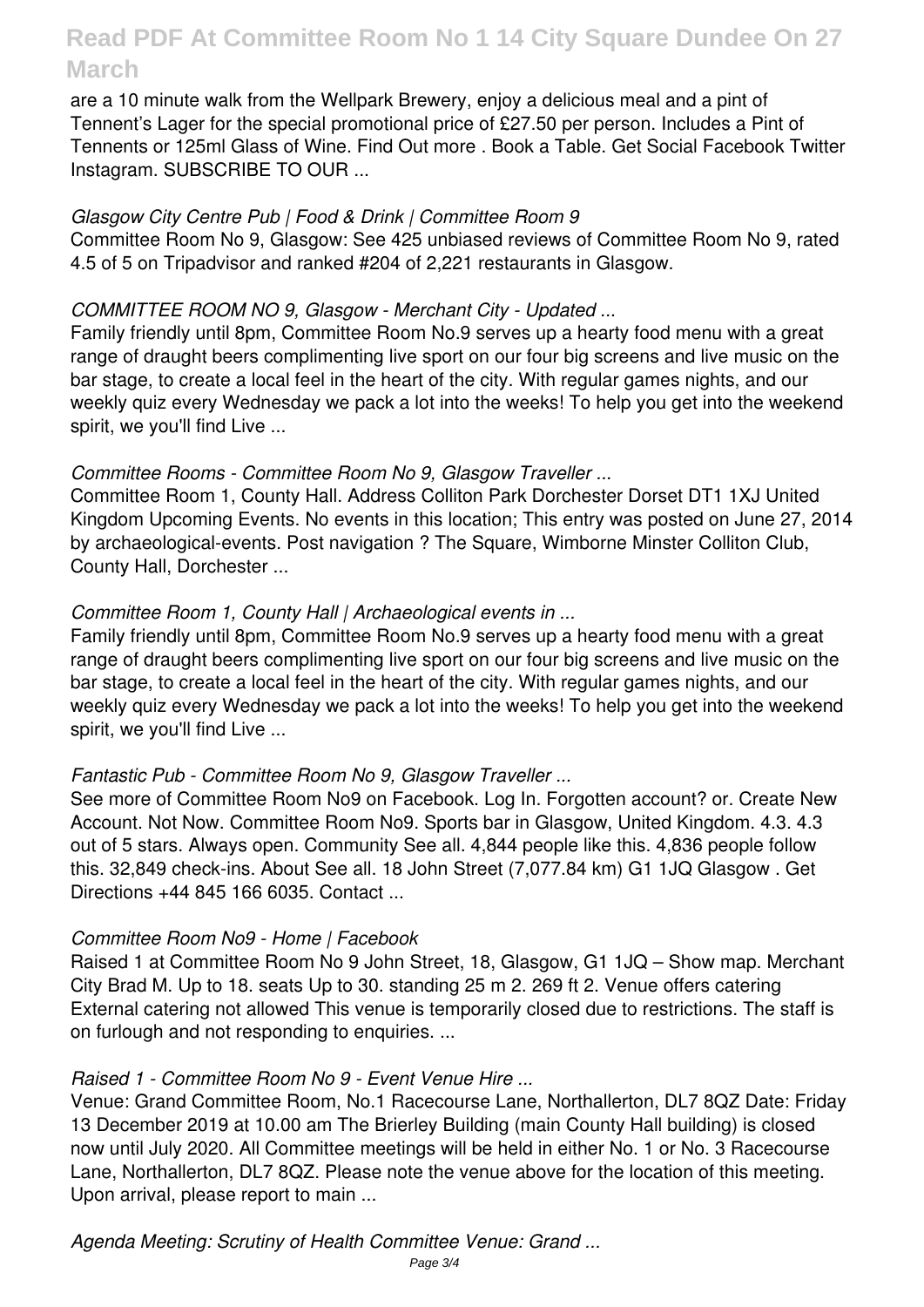are a 10 minute walk from the Wellpark Brewery, enjoy a delicious meal and a pint of Tennent's Lager for the special promotional price of £27.50 per person. Includes a Pint of Tennents or 125ml Glass of Wine. Find Out more . Book a Table. Get Social Facebook Twitter Instagram. SUBSCRIBE TO OUR ...

#### *Glasgow City Centre Pub | Food & Drink | Committee Room 9*

Committee Room No 9, Glasgow: See 425 unbiased reviews of Committee Room No 9, rated 4.5 of 5 on Tripadvisor and ranked #204 of 2,221 restaurants in Glasgow.

#### *COMMITTEE ROOM NO 9, Glasgow - Merchant City - Updated ...*

Family friendly until 8pm, Committee Room No.9 serves up a hearty food menu with a great range of draught beers complimenting live sport on our four big screens and live music on the bar stage, to create a local feel in the heart of the city. With regular games nights, and our weekly quiz every Wednesday we pack a lot into the weeks! To help you get into the weekend spirit, we you'll find Live ...

#### *Committee Rooms - Committee Room No 9, Glasgow Traveller ...*

Committee Room 1, County Hall. Address Colliton Park Dorchester Dorset DT1 1XJ United Kingdom Upcoming Events. No events in this location; This entry was posted on June 27, 2014 by archaeological-events. Post navigation ? The Square, Wimborne Minster Colliton Club, County Hall, Dorchester ...

#### *Committee Room 1, County Hall | Archaeological events in ...*

Family friendly until 8pm, Committee Room No.9 serves up a hearty food menu with a great range of draught beers complimenting live sport on our four big screens and live music on the bar stage, to create a local feel in the heart of the city. With regular games nights, and our weekly quiz every Wednesday we pack a lot into the weeks! To help you get into the weekend spirit, we you'll find Live ...

## *Fantastic Pub - Committee Room No 9, Glasgow Traveller ...*

See more of Committee Room No9 on Facebook. Log In. Forgotten account? or. Create New Account. Not Now. Committee Room No9. Sports bar in Glasgow, United Kingdom. 4.3. 4.3 out of 5 stars. Always open. Community See all. 4,844 people like this. 4,836 people follow this. 32,849 check-ins. About See all. 18 John Street (7,077.84 km) G1 1JQ Glasgow . Get Directions +44 845 166 6035. Contact ...

#### *Committee Room No9 - Home | Facebook*

Raised 1 at Committee Room No 9 John Street, 18, Glasgow, G1 1JQ – Show map. Merchant City Brad M. Up to 18. seats Up to 30. standing 25 m 2. 269 ft 2. Venue offers catering External catering not allowed This venue is temporarily closed due to restrictions. The staff is on furlough and not responding to enquiries. ...

## *Raised 1 - Committee Room No 9 - Event Venue Hire ...*

Venue: Grand Committee Room, No.1 Racecourse Lane, Northallerton, DL7 8QZ Date: Friday 13 December 2019 at 10.00 am The Brierley Building (main County Hall building) is closed now until July 2020. All Committee meetings will be held in either No. 1 or No. 3 Racecourse Lane, Northallerton, DL7 8QZ. Please note the venue above for the location of this meeting. Upon arrival, please report to main ...

*Agenda Meeting: Scrutiny of Health Committee Venue: Grand ...*